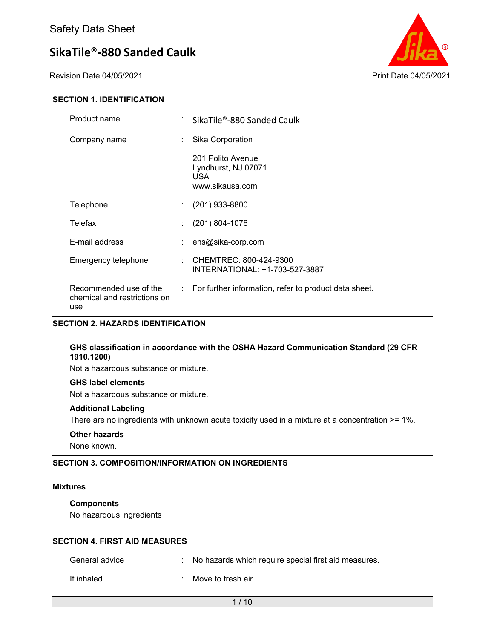Revision Date 04/05/2021 **Print Date 04/05/2021** Print Date 04/05/2021



### **SECTION 1. IDENTIFICATION**

| Product name                                                  |    | SikaTile®-880 Sanded Caulk                                          |
|---------------------------------------------------------------|----|---------------------------------------------------------------------|
| Company name                                                  | ÷  | Sika Corporation                                                    |
|                                                               |    | 201 Polito Avenue<br>Lyndhurst, NJ 07071<br>USA.<br>www.sikausa.com |
| Telephone                                                     | ÷. | $(201)$ 933-8800                                                    |
| Telefax                                                       |    | $(201) 804 - 1076$                                                  |
| E-mail address                                                |    | ehs@sika-corp.com                                                   |
| Emergency telephone                                           |    | CHEMTREC: 800-424-9300<br>INTERNATIONAL: +1-703-527-3887            |
| Recommended use of the<br>chemical and restrictions on<br>use |    | : For further information, refer to product data sheet.             |

### **SECTION 2. HAZARDS IDENTIFICATION**

### **GHS classification in accordance with the OSHA Hazard Communication Standard (29 CFR 1910.1200)**

Not a hazardous substance or mixture.

#### **GHS label elements**

Not a hazardous substance or mixture.

#### **Additional Labeling**

There are no ingredients with unknown acute toxicity used in a mixture at a concentration >= 1%.

#### **Other hazards**

None known.

### **SECTION 3. COMPOSITION/INFORMATION ON INGREDIENTS**

#### **Mixtures**

### **Components**

No hazardous ingredients

### **SECTION 4. FIRST AID MEASURES**

| General advice | : No hazards which require special first aid measures. |
|----------------|--------------------------------------------------------|
| If inhaled     | : Move to fresh air.                                   |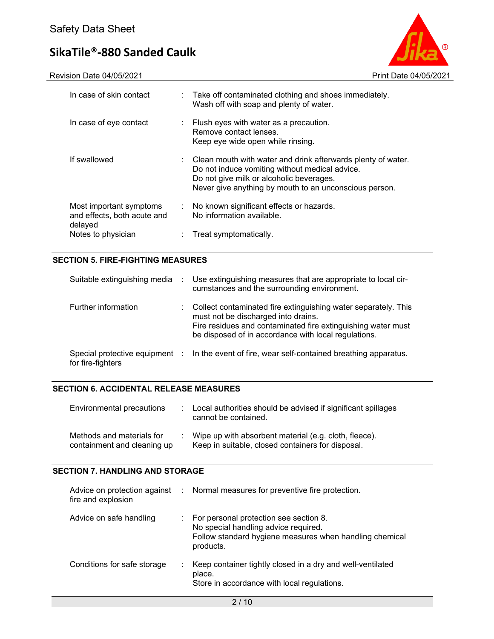Revision Date 04/05/2021 2021



| In case of skin contact                                           |    | : Take off contaminated clothing and shoes immediately.<br>Wash off with soap and plenty of water.                                                                                                                   |
|-------------------------------------------------------------------|----|----------------------------------------------------------------------------------------------------------------------------------------------------------------------------------------------------------------------|
| In case of eye contact                                            | ÷  | Flush eyes with water as a precaution.<br>Remove contact lenses.<br>Keep eye wide open while rinsing.                                                                                                                |
| If swallowed                                                      |    | Clean mouth with water and drink afterwards plenty of water.<br>Do not induce vomiting without medical advice.<br>Do not give milk or alcoholic beverages.<br>Never give anything by mouth to an unconscious person. |
| Most important symptoms<br>and effects, both acute and<br>delayed | ÷. | No known significant effects or hazards.<br>No information available.                                                                                                                                                |
| Notes to physician                                                |    | Treat symptomatically.                                                                                                                                                                                               |

# **SECTION 5. FIRE-FIGHTING MEASURES**

| Suitable extinguishing media | <b>CONTRACTOR</b> | Use extinguishing measures that are appropriate to local cir-<br>cumstances and the surrounding environment.                                                                                                                  |
|------------------------------|-------------------|-------------------------------------------------------------------------------------------------------------------------------------------------------------------------------------------------------------------------------|
| Further information          |                   | Collect contaminated fire extinguishing water separately. This<br>must not be discharged into drains.<br>Fire residues and contaminated fire extinguishing water must<br>be disposed of in accordance with local regulations. |
| for fire-fighters            |                   | Special protective equipment : In the event of fire, wear self-contained breathing apparatus.                                                                                                                                 |

### **SECTION 6. ACCIDENTAL RELEASE MEASURES**

| Environmental precautions                                | : Local authorities should be advised if significant spillages<br>cannot be contained.                     |
|----------------------------------------------------------|------------------------------------------------------------------------------------------------------------|
| Methods and materials for<br>containment and cleaning up | Wipe up with absorbent material (e.g. cloth, fleece).<br>Keep in suitable, closed containers for disposal. |

### **SECTION 7. HANDLING AND STORAGE**

| fire and explosion          |    | Advice on protection against : Normal measures for preventive fire protection.                                                                           |
|-----------------------------|----|----------------------------------------------------------------------------------------------------------------------------------------------------------|
| Advice on safe handling     |    | : For personal protection see section 8.<br>No special handling advice required.<br>Follow standard hygiene measures when handling chemical<br>products. |
| Conditions for safe storage | ÷. | Keep container tightly closed in a dry and well-ventilated<br>place.<br>Store in accordance with local regulations.                                      |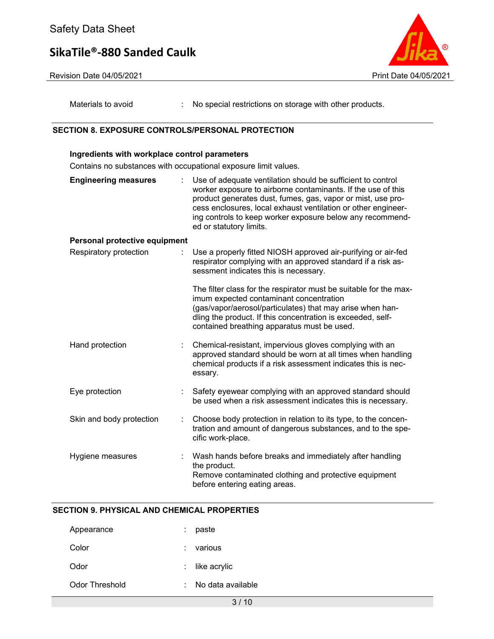



Materials to avoid : No special restrictions on storage with other products.

#### **SECTION 8. EXPOSURE CONTROLS/PERSONAL PROTECTION**

**Ingredients with workplace control parameters** 

# Contains no substances with occupational exposure limit values. **Engineering measures** : Use of adequate ventilation should be sufficient to control worker exposure to airborne contaminants. If the use of this product generates dust, fumes, gas, vapor or mist, use process enclosures, local exhaust ventilation or other engineering controls to keep worker exposure below any recommended or statutory limits. **Personal protective equipment** Respiratory protection : Use a properly fitted NIOSH approved air-purifying or air-fed respirator complying with an approved standard if a risk assessment indicates this is necessary. The filter class for the respirator must be suitable for the maximum expected contaminant concentration (gas/vapor/aerosol/particulates) that may arise when handling the product. If this concentration is exceeded, selfcontained breathing apparatus must be used. Hand protection : Chemical-resistant, impervious gloves complying with an approved standard should be worn at all times when handling chemical products if a risk assessment indicates this is necessary. Eye protection : Safety eyewear complying with an approved standard should be used when a risk assessment indicates this is necessary. Skin and body protection : Choose body protection in relation to its type, to the concentration and amount of dangerous substances, and to the specific work-place. Hygiene measures : Wash hands before breaks and immediately after handling the product. Remove contaminated clothing and protective equipment before entering eating areas.

# **SECTION 9. PHYSICAL AND CHEMICAL PROPERTIES**

| Appearance     | paste             |
|----------------|-------------------|
| Color          | various           |
| Odor           | $:$ like acrylic  |
| Odor Threshold | No data available |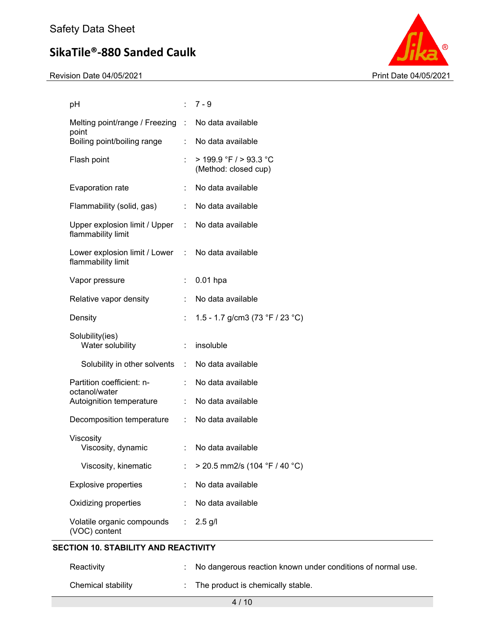Revision Date 04/05/2021 Print Date 04/05/2021



| рH                                                                      |                             | $:7-9$                                             |
|-------------------------------------------------------------------------|-----------------------------|----------------------------------------------------|
| Melting point/range / Freezing : No data available<br>point             |                             |                                                    |
| Boiling point/boiling range                                             |                             | : No data available                                |
| Flash point                                                             |                             | $>$ 199.9 °F / $>$ 93.3 °C<br>(Method: closed cup) |
| Evaporation rate                                                        |                             | No data available                                  |
| Flammability (solid, gas)                                               |                             | : No data available                                |
| Upper explosion limit / Upper : No data available<br>flammability limit |                             |                                                    |
| Lower explosion limit / Lower : No data available<br>flammability limit |                             |                                                    |
| Vapor pressure                                                          | t.                          | $0.01$ hpa                                         |
| Relative vapor density                                                  |                             | No data available                                  |
| Density                                                                 | t.                          | 1.5 - 1.7 g/cm3 (73 °F / 23 °C)                    |
| Solubility(ies)<br>Water solubility                                     |                             | : insoluble                                        |
| Solubility in other solvents : No data available                        |                             |                                                    |
| Partition coefficient: n-<br>octanol/water                              |                             | : No data available                                |
| Autoignition temperature                                                |                             | : No data available                                |
| Decomposition temperature                                               |                             | : No data available                                |
| Viscosity<br>Viscosity, dynamic                                         | $\mathcal{L}^{\mathcal{L}}$ | No data available                                  |
| Viscosity, kinematic                                                    |                             | > 20.5 mm2/s (104 °F / 40 °C)                      |
| <b>Explosive properties</b>                                             |                             | No data available                                  |
| Oxidizing properties                                                    | ÷                           | No data available                                  |
| Volatile organic compounds<br>(VOC) content                             | t.                          | $2.5$ g/l                                          |

# **SECTION 10. STABILITY AND REACTIVITY**

| Reactivity         | : No dangerous reaction known under conditions of normal use. |
|--------------------|---------------------------------------------------------------|
| Chemical stability | The product is chemically stable.                             |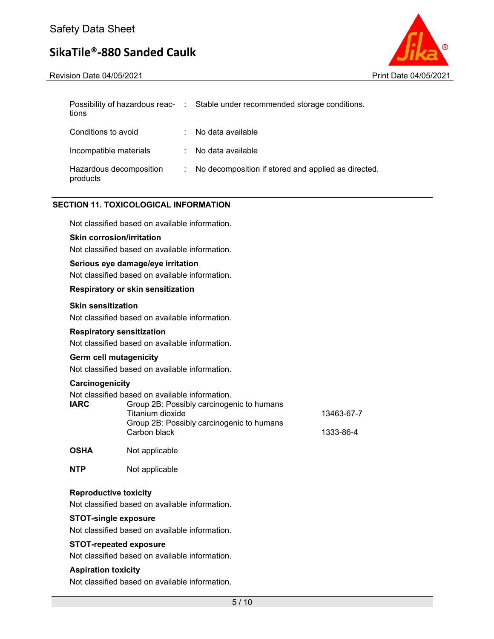Revision Date 04/05/2021 **Print Date 04/05/2021** Print Date 04/05/2021



| tions                               | Possibility of hazardous reac- : Stable under recommended storage conditions. |
|-------------------------------------|-------------------------------------------------------------------------------|
| Conditions to avoid                 | No data available                                                             |
| Incompatible materials              | : No data available                                                           |
| Hazardous decomposition<br>products | : No decomposition if stored and applied as directed.                         |

### **SECTION 11. TOXICOLOGICAL INFORMATION**

Not classified based on available information.

#### **Skin corrosion/irritation**

Not classified based on available information.

#### **Serious eye damage/eye irritation**

Not classified based on available information.

#### **Respiratory or skin sensitization**

### **Skin sensitization**

Not classified based on available information.

#### **Respiratory sensitization**

Not classified based on available information.

#### **Germ cell mutagenicity**

Not classified based on available information.

#### **Carcinogenicity**

Not classified based on available information.

| <b>IARC</b> | Group 2B: Possibly carcinogenic to humans |            |
|-------------|-------------------------------------------|------------|
|             | Titanium dioxide                          | 13463-67-7 |
|             | Group 2B: Possibly carcinogenic to humans |            |
|             | Carbon black                              | 1333-86-4  |
|             |                                           |            |

**OSHA** Not applicable

**NTP** Not applicable

#### **Reproductive toxicity**

Not classified based on available information.

#### **STOT-single exposure**

Not classified based on available information.

#### **STOT-repeated exposure**

Not classified based on available information.

#### **Aspiration toxicity**

Not classified based on available information.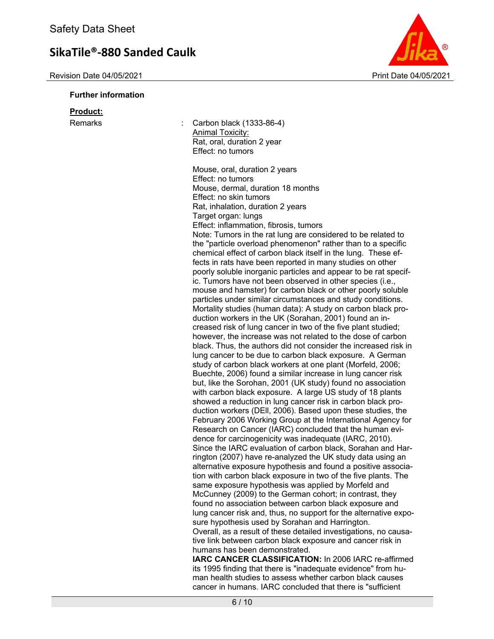# **Further information**



| <u>Product:</u><br>Remarks | Carbon black (1333-86-4)<br><b>Animal Toxicity:</b><br>Rat, oral, duration 2 year<br>Effect: no tumors                                                                                                                                                                                                                                                                                                                                                                                                                                                                                                                                                                                                                                                                                                                                                                                                                                                                                                                                                                                                                                                                                                                                                                                                                                                                                                                                                                                                                                                                                                                                                                                                                                                                                                                                                                                                                                                                                                                                                                                                                                                                                                                                                                                                                                                         |
|----------------------------|----------------------------------------------------------------------------------------------------------------------------------------------------------------------------------------------------------------------------------------------------------------------------------------------------------------------------------------------------------------------------------------------------------------------------------------------------------------------------------------------------------------------------------------------------------------------------------------------------------------------------------------------------------------------------------------------------------------------------------------------------------------------------------------------------------------------------------------------------------------------------------------------------------------------------------------------------------------------------------------------------------------------------------------------------------------------------------------------------------------------------------------------------------------------------------------------------------------------------------------------------------------------------------------------------------------------------------------------------------------------------------------------------------------------------------------------------------------------------------------------------------------------------------------------------------------------------------------------------------------------------------------------------------------------------------------------------------------------------------------------------------------------------------------------------------------------------------------------------------------------------------------------------------------------------------------------------------------------------------------------------------------------------------------------------------------------------------------------------------------------------------------------------------------------------------------------------------------------------------------------------------------------------------------------------------------------------------------------------------------|
|                            | Mouse, oral, duration 2 years<br>Effect: no tumors<br>Mouse, dermal, duration 18 months<br>Effect: no skin tumors<br>Rat, inhalation, duration 2 years<br>Target organ: lungs<br>Effect: inflammation, fibrosis, tumors<br>Note: Tumors in the rat lung are considered to be related to<br>the "particle overload phenomenon" rather than to a specific<br>chemical effect of carbon black itself in the lung. These ef-<br>fects in rats have been reported in many studies on other<br>poorly soluble inorganic particles and appear to be rat specif-<br>ic. Tumors have not been observed in other species (i.e.,<br>mouse and hamster) for carbon black or other poorly soluble<br>particles under similar circumstances and study conditions.<br>Mortality studies (human data): A study on carbon black pro-<br>duction workers in the UK (Sorahan, 2001) found an in-<br>creased risk of lung cancer in two of the five plant studied;<br>however, the increase was not related to the dose of carbon<br>black. Thus, the authors did not consider the increased risk in<br>lung cancer to be due to carbon black exposure. A German<br>study of carbon black workers at one plant (Morfeld, 2006;<br>Buechte, 2006) found a similar increase in lung cancer risk<br>but, like the Sorohan, 2001 (UK study) found no association<br>with carbon black exposure. A large US study of 18 plants<br>showed a reduction in lung cancer risk in carbon black pro-<br>duction workers (DEII, 2006). Based upon these studies, the<br>February 2006 Working Group at the International Agency for<br>Research on Cancer (IARC) concluded that the human evi-<br>dence for carcinogenicity was inadequate (IARC, 2010).<br>Since the IARC evaluation of carbon black, Sorahan and Har-<br>rington (2007) have re-analyzed the UK study data using an<br>alternative exposure hypothesis and found a positive associa-<br>tion with carbon black exposure in two of the five plants. The<br>same exposure hypothesis was applied by Morfeld and<br>McCunney (2009) to the German cohort; in contrast, they<br>found no association between carbon black exposure and<br>lung cancer risk and, thus, no support for the alternative expo-<br>sure hypothesis used by Sorahan and Harrington.<br>Overall, as a result of these detailed investigations, no causa- |
|                            | tive link between carbon black exposure and cancer risk in<br>humans has been demonstrated.<br>IARC CANCER CLASSIFICATION: In 2006 IARC re-affirmed<br>its 1995 finding that there is "inadequate evidence" from hu-<br>man health studies to assess whether carbon black causes                                                                                                                                                                                                                                                                                                                                                                                                                                                                                                                                                                                                                                                                                                                                                                                                                                                                                                                                                                                                                                                                                                                                                                                                                                                                                                                                                                                                                                                                                                                                                                                                                                                                                                                                                                                                                                                                                                                                                                                                                                                                               |
|                            | cancer in humans. IARC concluded that there is "sufficient                                                                                                                                                                                                                                                                                                                                                                                                                                                                                                                                                                                                                                                                                                                                                                                                                                                                                                                                                                                                                                                                                                                                                                                                                                                                                                                                                                                                                                                                                                                                                                                                                                                                                                                                                                                                                                                                                                                                                                                                                                                                                                                                                                                                                                                                                                     |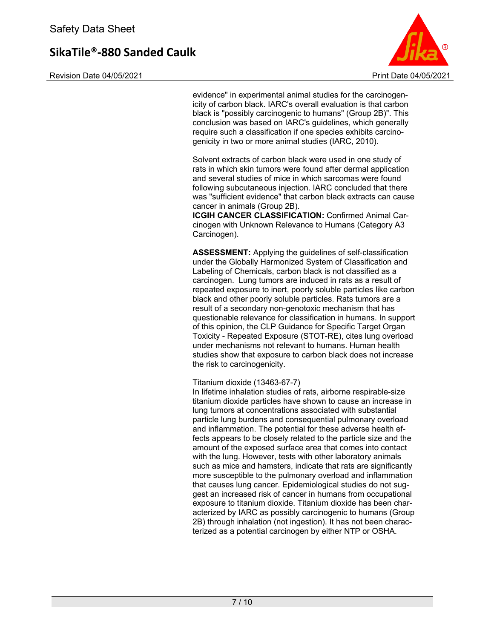Revision Date 04/05/2021 **Print Date 04/05/2021** Print Date 04/05/2021



evidence" in experimental animal studies for the carcinogenicity of carbon black. IARC's overall evaluation is that carbon black is "possibly carcinogenic to humans" (Group 2B)". This conclusion was based on IARC's guidelines, which generally require such a classification if one species exhibits carcinogenicity in two or more animal studies (IARC, 2010).

Solvent extracts of carbon black were used in one study of rats in which skin tumors were found after dermal application and several studies of mice in which sarcomas were found following subcutaneous injection. IARC concluded that there was "sufficient evidence" that carbon black extracts can cause cancer in animals (Group 2B).

**ICGIH CANCER CLASSIFICATION:** Confirmed Animal Carcinogen with Unknown Relevance to Humans (Category A3 Carcinogen).

**ASSESSMENT:** Applying the guidelines of self-classification under the Globally Harmonized System of Classification and Labeling of Chemicals, carbon black is not classified as a carcinogen. Lung tumors are induced in rats as a result of repeated exposure to inert, poorly soluble particles like carbon black and other poorly soluble particles. Rats tumors are a result of a secondary non-genotoxic mechanism that has questionable relevance for classification in humans. In support of this opinion, the CLP Guidance for Specific Target Organ Toxicity - Repeated Exposure (STOT-RE), cites lung overload under mechanisms not relevant to humans. Human health studies show that exposure to carbon black does not increase the risk to carcinogenicity.

Titanium dioxide (13463-67-7)

In lifetime inhalation studies of rats, airborne respirable-size titanium dioxide particles have shown to cause an increase in lung tumors at concentrations associated with substantial particle lung burdens and consequential pulmonary overload and inflammation. The potential for these adverse health effects appears to be closely related to the particle size and the amount of the exposed surface area that comes into contact with the lung. However, tests with other laboratory animals such as mice and hamsters, indicate that rats are significantly more susceptible to the pulmonary overload and inflammation that causes lung cancer. Epidemiological studies do not suggest an increased risk of cancer in humans from occupational exposure to titanium dioxide. Titanium dioxide has been characterized by IARC as possibly carcinogenic to humans (Group 2B) through inhalation (not ingestion). It has not been characterized as a potential carcinogen by either NTP or OSHA.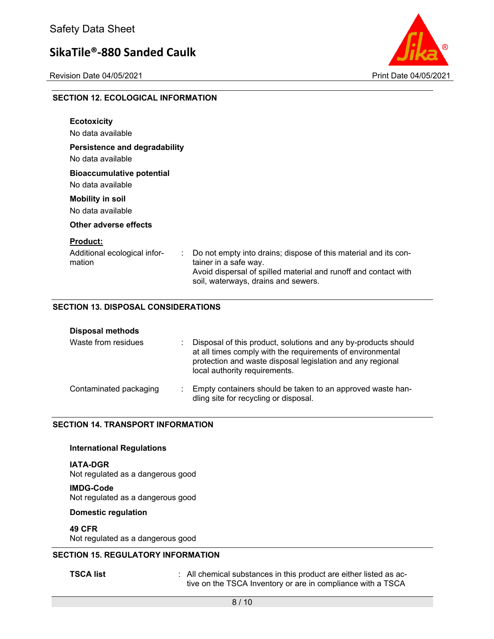

#### **SECTION 12. ECOLOGICAL INFORMATION**

| <b>Ecotoxicity</b><br>No data available                   |                                                                                                                                                                                                          |
|-----------------------------------------------------------|----------------------------------------------------------------------------------------------------------------------------------------------------------------------------------------------------------|
| Persistence and degradability<br>No data available        |                                                                                                                                                                                                          |
| <b>Bioaccumulative potential</b><br>No data available     |                                                                                                                                                                                                          |
| <b>Mobility in soil</b><br>No data available              |                                                                                                                                                                                                          |
| Other adverse effects                                     |                                                                                                                                                                                                          |
| <b>Product:</b><br>Additional ecological infor-<br>mation | Do not empty into drains; dispose of this material and its con-<br>÷.<br>tainer in a safe way.<br>Avoid dispersal of spilled material and runoff and contact with<br>soil, waterways, drains and sewers. |

### **SECTION 13. DISPOSAL CONSIDERATIONS**

| <b>Disposal methods</b> |                                                                                                                                                                                                                             |
|-------------------------|-----------------------------------------------------------------------------------------------------------------------------------------------------------------------------------------------------------------------------|
| Waste from residues     | Disposal of this product, solutions and any by-products should<br>at all times comply with the requirements of environmental<br>protection and waste disposal legislation and any regional<br>local authority requirements. |
| Contaminated packaging  | Empty containers should be taken to an approved waste han-<br>dling site for recycling or disposal.                                                                                                                         |

### **SECTION 14. TRANSPORT INFORMATION**

#### **International Regulations**

**IATA-DGR**  Not regulated as a dangerous good

**IMDG-Code**  Not regulated as a dangerous good

#### **Domestic regulation**

**49 CFR**  Not regulated as a dangerous good

# **SECTION 15. REGULATORY INFORMATION**

**TSCA list interpretate in the SCA list TSCA list interpretate in this product are either listed as ac**tive on the TSCA Inventory or are in compliance with a TSCA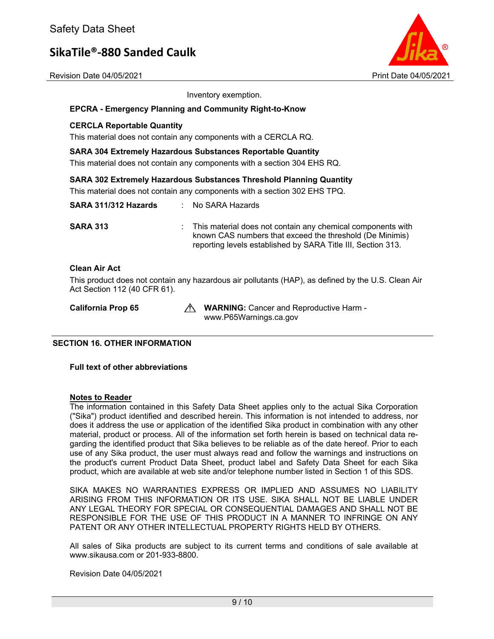

Revision Date 04/05/2021 Print Date 04/05/2021

Inventory exemption.

#### **EPCRA - Emergency Planning and Community Right-to-Know**

#### **CERCLA Reportable Quantity**

This material does not contain any components with a CERCLA RQ.

#### **SARA 304 Extremely Hazardous Substances Reportable Quantity**

This material does not contain any components with a section 304 EHS RQ.

#### **SARA 302 Extremely Hazardous Substances Threshold Planning Quantity**

This material does not contain any components with a section 302 EHS TPQ.

| SARA 311/312 Hazards | : No SARA Hazards                                                                                                                                                                       |
|----------------------|-----------------------------------------------------------------------------------------------------------------------------------------------------------------------------------------|
| <b>SARA 313</b>      | This material does not contain any chemical components with<br>known CAS numbers that exceed the threshold (De Minimis)<br>reporting levels established by SARA Title III, Section 313. |
| <b>Clean Air Act</b> |                                                                                                                                                                                         |
|                      |                                                                                                                                                                                         |

This product does not contain any hazardous air pollutants (HAP), as defined by the U.S. Clean Air Act Section 112 (40 CFR 61).

**California Prop 65 MILES AND WARNING:** Cancer and Reproductive Harm www.P65Warnings.ca.gov

### **SECTION 16. OTHER INFORMATION**

**Full text of other abbreviations** 

#### **Notes to Reader**

The information contained in this Safety Data Sheet applies only to the actual Sika Corporation ("Sika") product identified and described herein. This information is not intended to address, nor does it address the use or application of the identified Sika product in combination with any other material, product or process. All of the information set forth herein is based on technical data regarding the identified product that Sika believes to be reliable as of the date hereof. Prior to each use of any Sika product, the user must always read and follow the warnings and instructions on the product's current Product Data Sheet, product label and Safety Data Sheet for each Sika product, which are available at web site and/or telephone number listed in Section 1 of this SDS.

SIKA MAKES NO WARRANTIES EXPRESS OR IMPLIED AND ASSUMES NO LIABILITY ARISING FROM THIS INFORMATION OR ITS USE. SIKA SHALL NOT BE LIABLE UNDER ANY LEGAL THEORY FOR SPECIAL OR CONSEQUENTIAL DAMAGES AND SHALL NOT BE RESPONSIBLE FOR THE USE OF THIS PRODUCT IN A MANNER TO INFRINGE ON ANY PATENT OR ANY OTHER INTELLECTUAL PROPERTY RIGHTS HELD BY OTHERS.

All sales of Sika products are subject to its current terms and conditions of sale available at www.sikausa.com or 201-933-8800.

Revision Date 04/05/2021